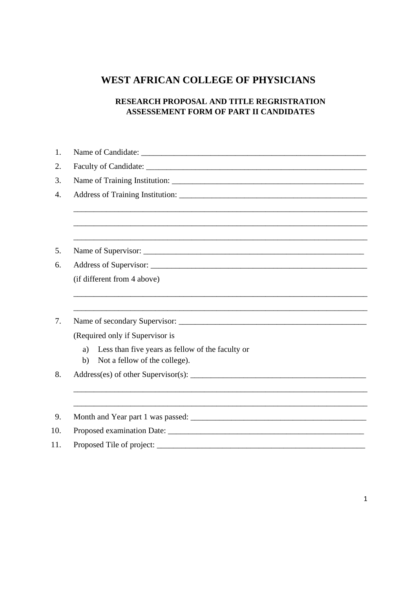## **WEST AFRICAN COLLEGE OF PHYSICIANS**

## **RESEARCH PROPOSAL AND TITLE REGRISTRATION ASSESSEMENT FORM OF PART II CANDIDATES**

|    | (if different from 4 above)                      |
|----|--------------------------------------------------|
|    |                                                  |
|    |                                                  |
|    | (Required only if Supervisor is                  |
| a) | Less than five years as fellow of the faculty or |
| b) | Not a fellow of the college).                    |
|    |                                                  |
|    |                                                  |
|    |                                                  |
|    |                                                  |
|    |                                                  |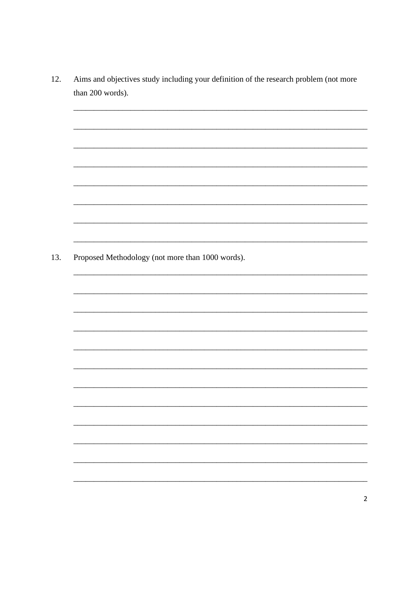Aims and objectives study including your definition of the research problem (not more 12. than 200 words).

13. Proposed Methodology (not more than 1000 words).

 $\overline{\phantom{a}}$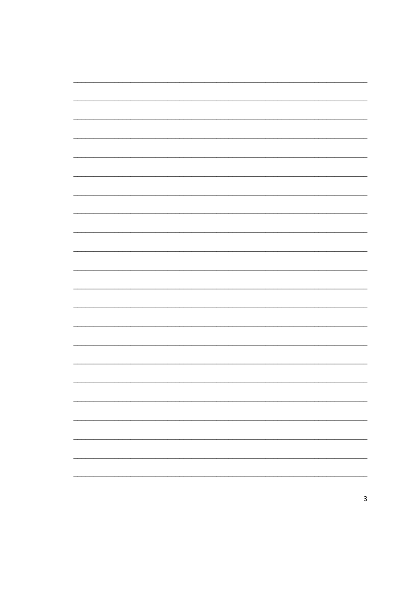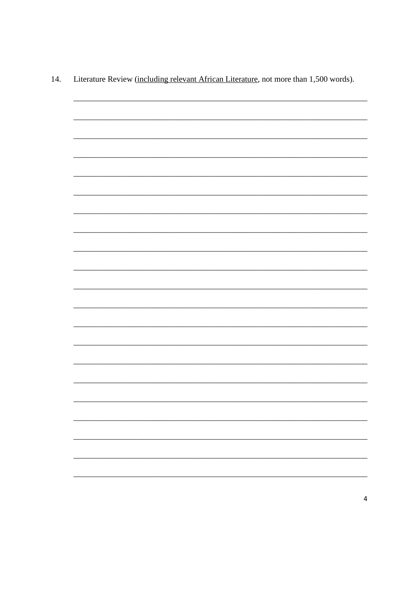Literature Review (including relevant African Literature, not more than 1,500 words). 14.

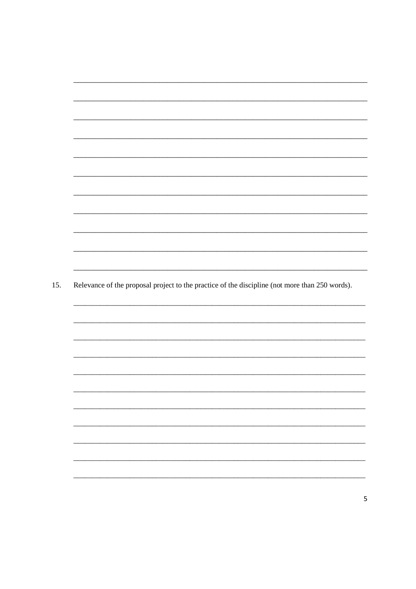15. Relevance of the proposal project to the practice of the discipline (not more than 250 words).

 $\overline{\phantom{a}}$ 

 $\overline{\phantom{0}}$